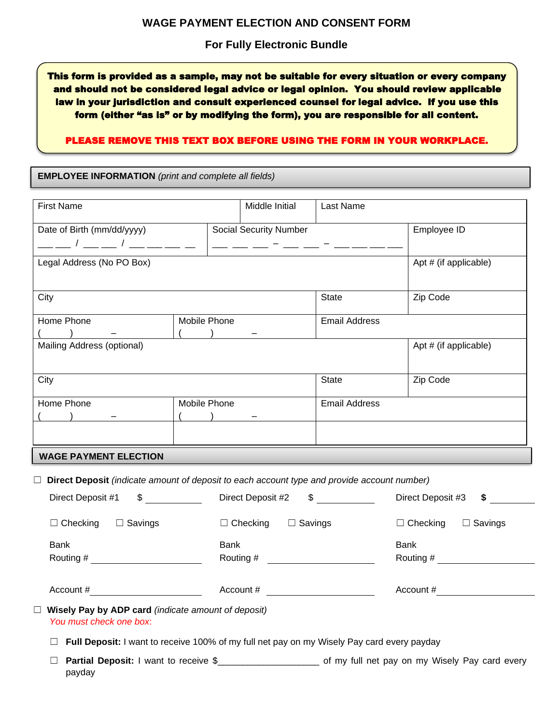## **For Fully Electronic Bundle**

This form is provided as a sample, may not be suitable for every situation or every company and should not be considered legal advice or legal opinion. You should review applicable law in your jurisdiction and consult experienced counsel for legal advice. If you use this form (either "as is" or by modifying the form), you are responsible for all content.

## PLEASE REMOVE THIS TEXT BOX BEFORE USING THE FORM IN YOUR WORKPLACE.

**EMPLOYEE INFORMATION** *(print and complete all fields)*

| <b>First Name</b>                                                                                     |                                                                         | Middle Initial                | Last Name            |                                                                                                             |
|-------------------------------------------------------------------------------------------------------|-------------------------------------------------------------------------|-------------------------------|----------------------|-------------------------------------------------------------------------------------------------------------|
| Date of Birth (mm/dd/yyyy)<br>__ _ / __ _ / __ __ _ _                                                 |                                                                         | <b>Social Security Number</b> |                      | Employee ID                                                                                                 |
| Legal Address (No PO Box)                                                                             |                                                                         |                               |                      | Apt # (if applicable)                                                                                       |
| City                                                                                                  |                                                                         |                               | State                | Zip Code                                                                                                    |
| Home Phone                                                                                            | Mobile Phone<br>$($ ) $_$                                               |                               | <b>Email Address</b> |                                                                                                             |
| Mailing Address (optional)                                                                            |                                                                         |                               |                      | Apt # (if applicable)                                                                                       |
| City                                                                                                  |                                                                         |                               | State                | Zip Code                                                                                                    |
| Home Phone                                                                                            | Mobile Phone<br>$(\underline{\hspace{1cm}})$ $\underline{\hspace{1cm}}$ |                               | <b>Email Address</b> |                                                                                                             |
| <b>WAGE PAYMENT ELECTION</b>                                                                          |                                                                         |                               |                      |                                                                                                             |
| $\Box$ Direct Deposit (indicate amount of deposit to each account type and provide account number)    |                                                                         |                               |                      |                                                                                                             |
| Direct Deposit #2 \$<br>$\sim$<br>Direct Deposit #1                                                   |                                                                         |                               |                      | Direct Deposit #3<br>\$                                                                                     |
| $\Box$ Checking $\Box$ Savings<br>$\Box$ Checking $\Box$ Savings                                      |                                                                         |                               |                      | $\Box$ Checking<br>$\Box$ Savings                                                                           |
| <b>Bank</b><br><b>Bank</b><br>Routing #                                                               |                                                                         |                               |                      | <b>Bank</b><br>Routing #                                                                                    |
| Account #<br>Account #                                                                                |                                                                         |                               |                      | Account #                                                                                                   |
| $\Box$ Wisely Pay by ADP card (indicate amount of deposit)<br>You must check one box:                 |                                                                         |                               |                      |                                                                                                             |
| Full Deposit: I want to receive 100% of my full net pay on my Wisely Pay card every payday<br>$\perp$ |                                                                         |                               |                      |                                                                                                             |
| ш<br>payday                                                                                           |                                                                         |                               |                      | Partial Deposit: I want to receive \$_______________________ of my full net pay on my Wisely Pay card every |